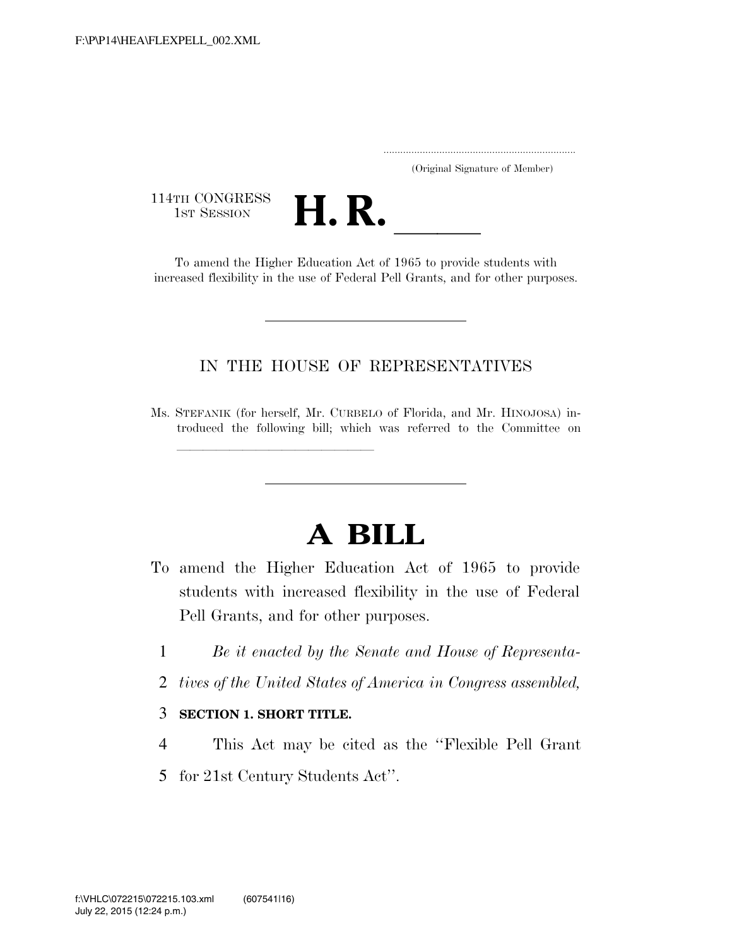..................................................................... (Original Signature of Member)

114TH CONGRESS<br>1st Session



TH CONGRESS<br>1st SESSION **H. R.** <u>Indication Act of 1965</u> to provide students with increased flexibility in the use of Federal Pell Grants, and for other purposes.

## IN THE HOUSE OF REPRESENTATIVES

Ms. STEFANIK (for herself, Mr. CURBELO of Florida, and Mr. HINOJOSA) introduced the following bill; which was referred to the Committee on

## **A BILL**

- To amend the Higher Education Act of 1965 to provide students with increased flexibility in the use of Federal Pell Grants, and for other purposes.
	- 1 *Be it enacted by the Senate and House of Representa-*
	- 2 *tives of the United States of America in Congress assembled,*

## 3 **SECTION 1. SHORT TITLE.**

- 4 This Act may be cited as the ''Flexible Pell Grant
- 5 for 21st Century Students Act''.

ll<del>e de la completa de la completa de la completa de la completa de la completa de la completa de la completa de<br>La completa de la completa de la completa de la completa de la completa de la completa de la completa de la c</del>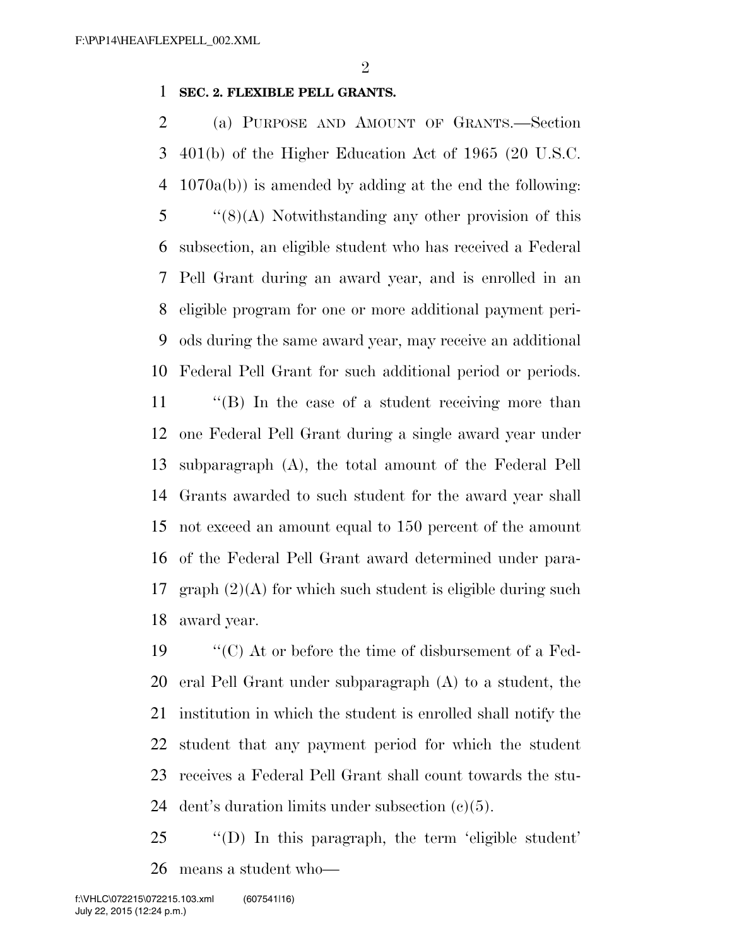## **SEC. 2. FLEXIBLE PELL GRANTS.**

 (a) PURPOSE AND AMOUNT OF GRANTS.—Section 401(b) of the Higher Education Act of 1965 (20 U.S.C. 1070a(b)) is amended by adding at the end the following: ''(8)(A) Notwithstanding any other provision of this subsection, an eligible student who has received a Federal Pell Grant during an award year, and is enrolled in an eligible program for one or more additional payment peri- ods during the same award year, may receive an additional Federal Pell Grant for such additional period or periods.

 ''(B) In the case of a student receiving more than one Federal Pell Grant during a single award year under subparagraph (A), the total amount of the Federal Pell Grants awarded to such student for the award year shall not exceed an amount equal to 150 percent of the amount of the Federal Pell Grant award determined under para-17 graph  $(2)(A)$  for which such student is eligible during such award year.

 ''(C) At or before the time of disbursement of a Fed- eral Pell Grant under subparagraph (A) to a student, the institution in which the student is enrolled shall notify the student that any payment period for which the student receives a Federal Pell Grant shall count towards the stu-24 dent's duration limits under subsection  $(c)(5)$ .

 ''(D) In this paragraph, the term 'eligible student' means a student who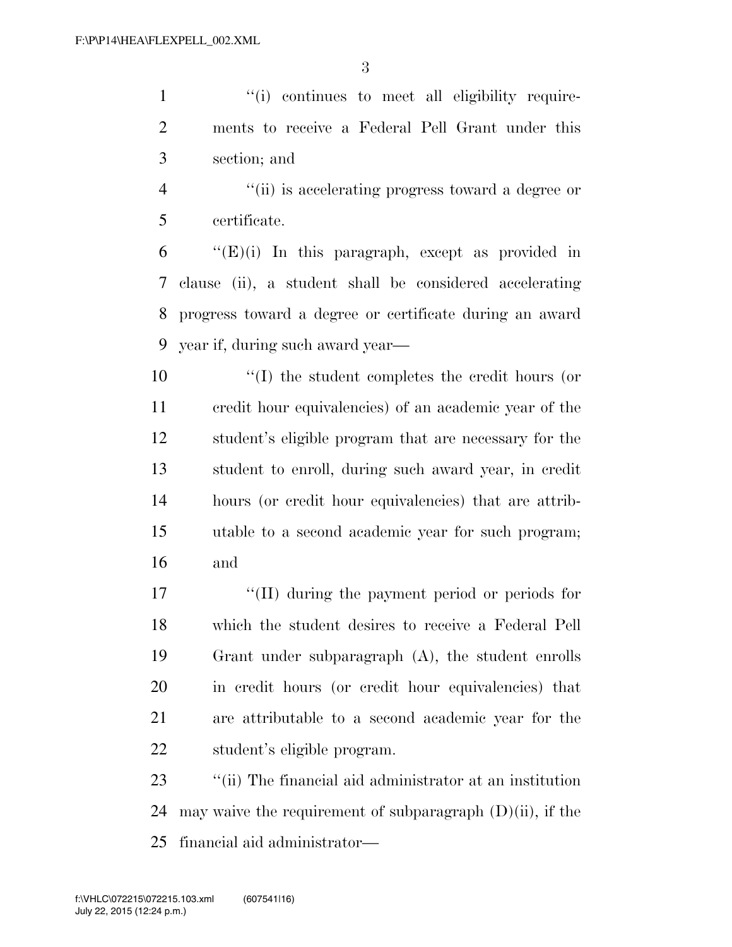1  $\lq$  (i) continues to meet all eligibility require- ments to receive a Federal Pell Grant under this section; and

 ''(ii) is accelerating progress toward a degree or certificate.

 "(E)(i) In this paragraph, except as provided in clause (ii), a student shall be considered accelerating progress toward a degree or certificate during an award year if, during such award year—

 ''(I) the student completes the credit hours (or credit hour equivalencies) of an academic year of the student's eligible program that are necessary for the student to enroll, during such award year, in credit hours (or credit hour equivalencies) that are attrib- utable to a second academic year for such program; and

17 ''(II) during the payment period or periods for which the student desires to receive a Federal Pell Grant under subparagraph (A), the student enrolls in credit hours (or credit hour equivalencies) that are attributable to a second academic year for the student's eligible program.

 ''(ii) The financial aid administrator at an institution 24 may waive the requirement of subparagraph  $(D)(ii)$ , if the financial aid administrator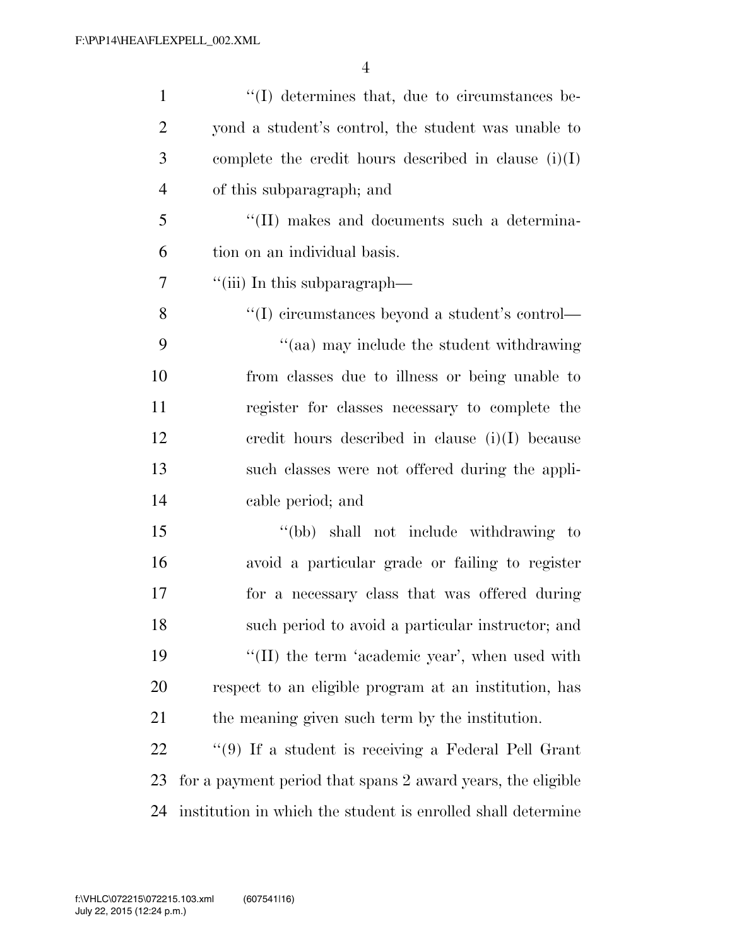| $\mathbf{1}$   | $\lq\lq$ determines that, due to circumstances be-           |
|----------------|--------------------------------------------------------------|
| $\overline{2}$ | yond a student's control, the student was unable to          |
| 3              | complete the credit hours described in clause $(i)(I)$       |
| $\overline{4}$ | of this subparagraph; and                                    |
| 5              | "(II) makes and documents such a determina-                  |
| 6              | tion on an individual basis.                                 |
| 7              | "(iii) In this subparagraph—                                 |
| 8              | "(I) circumstances beyond a student's control—               |
| 9              | "(aa) may include the student withdrawing                    |
| 10             | from classes due to illness or being unable to               |
| 11             | register for classes necessary to complete the               |
| 12             | credit hours described in clause $(i)(I)$ because            |
| 13             | such classes were not offered during the appli-              |
| 14             | cable period; and                                            |
| 15             | "(bb) shall not include withdrawing to                       |
| 16             | avoid a particular grade or failing to register              |
| 17             | for a necessary class that was offered during                |
| 18             | such period to avoid a particular instructor; and            |
| 19             | "(II) the term 'academic year', when used with               |
| 20             | respect to an eligible program at an institution, has        |
| 21             | the meaning given such term by the institution.              |
| 22             | $\lq(9)$ If a student is receiving a Federal Pell Grant      |
| 23             | for a payment period that spans 2 award years, the eligible  |
| 24             | institution in which the student is enrolled shall determine |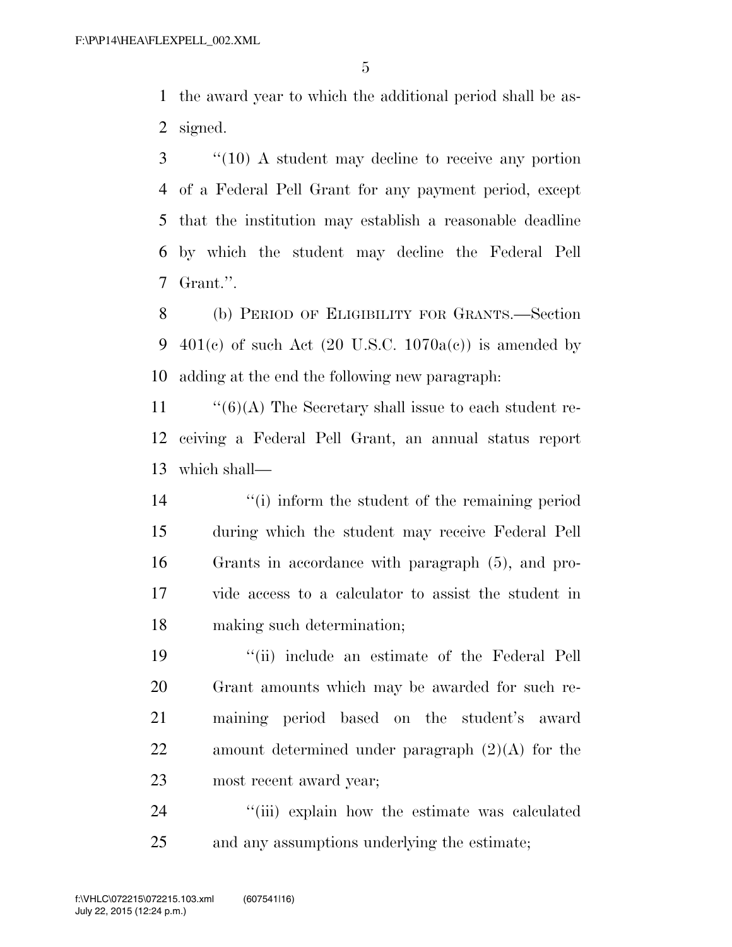the award year to which the additional period shall be as-signed.

 ''(10) A student may decline to receive any portion of a Federal Pell Grant for any payment period, except that the institution may establish a reasonable deadline by which the student may decline the Federal Pell Grant.''.

 (b) PERIOD OF ELIGIBILITY FOR GRANTS.—Section 9 401(c) of such Act  $(20 \text{ U.S.C. } 1070a(c))$  is amended by adding at the end the following new paragraph:

11  $\frac{1}{6}(6)$  The Secretary shall issue to each student re- ceiving a Federal Pell Grant, an annual status report which shall—

 ''(i) inform the student of the remaining period during which the student may receive Federal Pell Grants in accordance with paragraph (5), and pro- vide access to a calculator to assist the student in making such determination;

 ''(ii) include an estimate of the Federal Pell Grant amounts which may be awarded for such re- maining period based on the student's award amount determined under paragraph (2)(A) for the most recent award year;

24 ''(iii) explain how the estimate was calculated and any assumptions underlying the estimate;